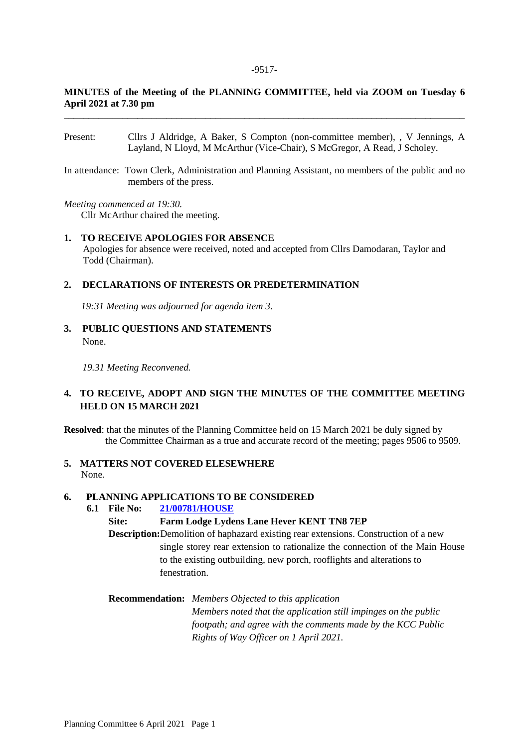# **MINUTES of the Meeting of the PLANNING COMMITTEE, held via ZOOM on Tuesday 6 April 2021 at 7.30 pm** \_\_\_\_\_\_\_\_\_\_\_\_\_\_\_\_\_\_\_\_\_\_\_\_\_\_\_\_\_\_\_\_\_\_\_\_\_\_\_\_\_\_\_\_\_\_\_\_\_\_\_\_\_\_\_\_\_\_\_\_\_\_\_\_\_\_\_\_\_\_\_\_\_\_\_\_\_\_\_\_\_\_

- Present: Cllrs J Aldridge, A Baker, S Compton (non-committee member), , V Jennings, A Layland, N Lloyd, M McArthur (Vice-Chair), S McGregor, A Read, J Scholey.
- In attendance: Town Clerk, Administration and Planning Assistant, no members of the public and no members of the press.

*Meeting commenced at 19:30.*

**Cllr McArthur chaired the meeting.** 

## **1. TO RECEIVE APOLOGIES FOR ABSENCE**

Apologies for absence were received, noted and accepted from Cllrs Damodaran, Taylor and Todd (Chairman).

#### **2. DECLARATIONS OF INTERESTS OR PREDETERMINATION**

 *19:31 Meeting was adjourned for agenda item 3.*

**3. PUBLIC QUESTIONS AND STATEMENTS** None.

*19.31 Meeting Reconvened.*

# **4. TO RECEIVE, ADOPT AND SIGN THE MINUTES OF THE COMMITTEE MEETING HELD ON 15 MARCH 2021**

**Resolved**: that the minutes of the Planning Committee held on 15 March 2021 be duly signed by the Committee Chairman as a true and accurate record of the meeting; pages 9506 to 9509.

## **5. MATTERS NOT COVERED ELESEWHERE** None.

#### **6. PLANNING APPLICATIONS TO BE CONSIDERED**

#### **6.1 File No: [21/00781/HOUSE](https://pa.sevenoaks.gov.uk/online-applications/applicationDetails.do?activeTab=summary&keyVal=QPV8F2BKFR000)**

## **Site: Farm Lodge Lydens Lane Hever KENT TN8 7EP**

**Description:**Demolition of haphazard existing rear extensions. Construction of a new single storey rear extension to rationalize the connection of the Main House to the existing outbuilding, new porch, rooflights and alterations to fenestration.

## **Recommendation:** *Members Objected to this application*

*Members noted that the application still impinges on the public footpath; and agree with the comments made by the KCC Public Rights of Way Officer on 1 April 2021.*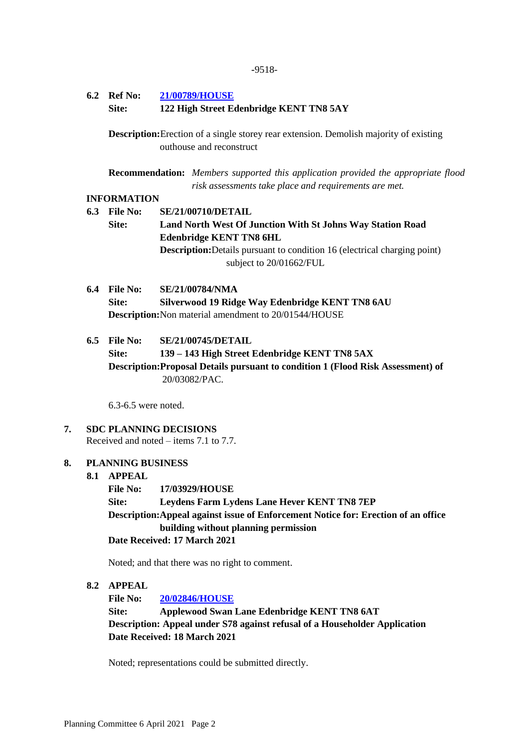## **6.2 Ref No: [21/00789/HOUSE](https://pa.sevenoaks.gov.uk/online-applications/applicationDetails.do?activeTab=summary&keyVal=QQ0C3XBK0LO00)**

**Site: 122 High Street Edenbridge KENT TN8 5AY** 

**Description:**Erection of a single storey rear extension. Demolish majority of existing outhouse and reconstruct

**Recommendation:** *Members supported this application provided the appropriate flood risk assessments take place and requirements are met.*

## **INFORMATION**

- **6.3 File No: SE/21/00710/DETAIL Site: Land North West Of Junction With St Johns Way Station Road Edenbridge KENT TN8 6HL Description:**Details pursuant to condition 16 (electrical charging point) subject to 20/01662/FUL
- **6.4 File No: SE/21/00784/NMA Site: Silverwood 19 Ridge Way Edenbridge KENT TN8 6AU Description:**Non material amendment to 20/01544/HOUSE
- **6.5 File No: SE/21/00745/DETAIL**

**Site: 139 – 143 High Street Edenbridge KENT TN8 5AX Description:Proposal Details pursuant to condition 1 (Flood Risk Assessment) of** 20/03082/PAC.

6.3-6.5 were noted.

**7. SDC PLANNING DECISIONS** Received and noted – items 7.1 to 7.7.

## **8. PLANNING BUSINESS**

## **8.1 APPEAL**

 **File No: 17/03929/HOUSE Site: Leydens Farm Lydens Lane Hever KENT TN8 7EP Description:Appeal against issue of Enforcement Notice for: Erection of an office building without planning permission Date Received: 17 March 2021**

Noted; and that there was no right to comment.

## **8.2 APPEAL**

**File No: [20/02846/HOUSE](https://pa.sevenoaks.gov.uk/online-applications/applicationDetails.do?activeTab=summary&keyVal=QHQKAVBKHOU00)**

**Site: Applewood Swan Lane Edenbridge KENT TN8 6AT Description: Appeal under S78 against refusal of a Householder Application Date Received: 18 March 2021**

Noted; representations could be submitted directly.